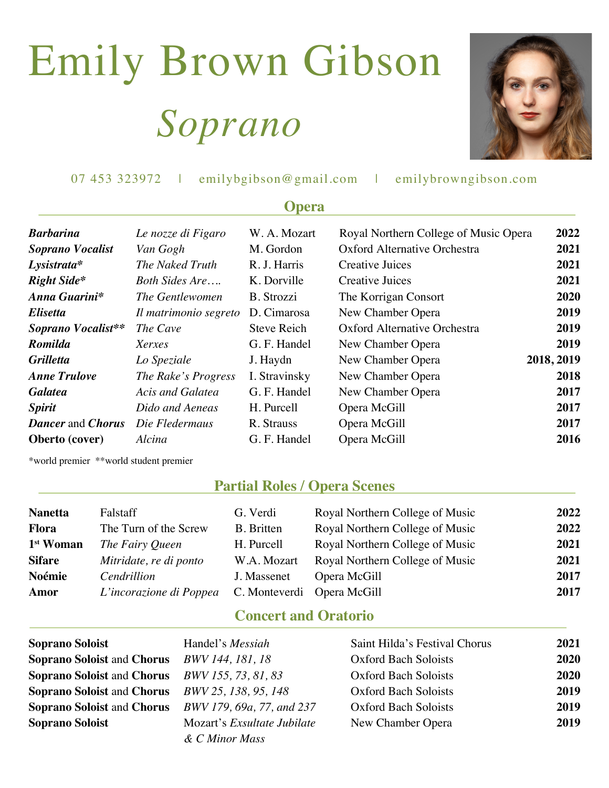# Emily Brown Gibson  *Soprano*



| 07 453 323972 | emilybgibson@gmail.com | emilybrowngibson.com |
|---------------|------------------------|----------------------|
|               |                        |                      |

| <b>Opera</b>                    |                       |                    |                                       |            |  |
|---------------------------------|-----------------------|--------------------|---------------------------------------|------------|--|
| Barbarina                       | Le nozze di Figaro    | W. A. Mozart       | Royal Northern College of Music Opera | 2022       |  |
| Soprano Vocalist                | Van Gogh              | M. Gordon          | Oxford Alternative Orchestra          | 2021       |  |
| $L$ ysistrata*                  | The Naked Truth       | R. J. Harris       | Creative Juices                       | 2021       |  |
| <b>Right Side*</b>              | Both Sides Are        | K. Dorville        | <b>Creative Juices</b>                | 2021       |  |
| Anna Guarini*                   | The Gentlewomen       | B. Strozzi         | The Korrigan Consort                  | 2020       |  |
| Elisetta                        | Il matrimonio segreto | D. Cimarosa        | New Chamber Opera                     | 2019       |  |
| Soprano Vocalist**              | The Cave              | <b>Steve Reich</b> | Oxford Alternative Orchestra          | 2019       |  |
| Romilda                         | Xerxes                | G. F. Handel       | New Chamber Opera                     | 2019       |  |
| Grilletta                       | Lo Speziale           | J. Haydn           | New Chamber Opera                     | 2018, 2019 |  |
| <b>Anne Trulove</b>             | The Rake's Progress   | I. Stravinsky      | New Chamber Opera                     | 2018       |  |
| Galatea                         | Acis and Galatea      | G. F. Handel       | New Chamber Opera                     | 2017       |  |
| <i><b>Spirit</b></i>            | Dido and Aeneas       | H. Purcell         | Opera McGill                          | 2017       |  |
| <b>Dancer</b> and <i>Chorus</i> | Die Fledermaus        | R. Strauss         | Opera McGill                          | 2017       |  |
| Oberto (cover)                  | Alcina                | G. F. Handel       | Opera McGill                          | 2016       |  |
|                                 |                       |                    |                                       |            |  |

\*world premier \*\*world student premier

#### **Partial Roles / Opera Scenes**

| <b>Nanetta</b>        | Falstaff                | G. Verdi                   | Royal Northern College of Music | 2022 |
|-----------------------|-------------------------|----------------------------|---------------------------------|------|
| <b>Flora</b>          | The Turn of the Screw   | <b>B.</b> Britten          | Royal Northern College of Music | 2022 |
| 1 <sup>st</sup> Woman | The Fairy Queen         | H. Purcell                 | Royal Northern College of Music | 2021 |
| <b>Sifare</b>         | Mitridate, re di ponto  | W.A. Mozart                | Royal Northern College of Music | 2021 |
| Noémie                | Cendrillion             | J. Massenet                | Opera McGill                    | 2017 |
| Amor                  | L'incorazione di Poppea | C. Monteverdi Opera McGill |                                 | 2017 |

#### **Concert and Oratorio**

| <b>Soprano Soloist</b>                                       | Handel's <i>Messiah</i>            | Saint Hilda's Festival Chorus | 2021 |
|--------------------------------------------------------------|------------------------------------|-------------------------------|------|
| <b>Soprano Soloist and Chorus</b> BWV 144, 181, 18           |                                    | <b>Oxford Bach Soloists</b>   | 2020 |
| <b>Soprano Soloist</b> and Chorus <i>BWV 155, 73, 81, 83</i> |                                    | <b>Oxford Bach Soloists</b>   | 2020 |
| <b>Soprano Soloist and Chorus</b> BWV 25, 138, 95, 148       |                                    | <b>Oxford Bach Soloists</b>   | 2019 |
| Soprano Soloist and Chorus BWV 179, 69a, 77, and 237         |                                    | <b>Oxford Bach Soloists</b>   | 2019 |
| <b>Soprano Soloist</b>                                       | Mozart's <i>Exsultate Jubilate</i> | New Chamber Opera             | 2019 |
|                                                              | & C Minor Mass                     |                               |      |